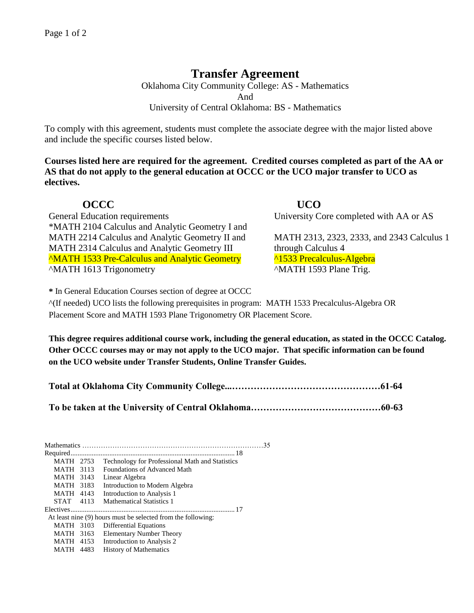## **Transfer Agreement**

Oklahoma City Community College: AS - Mathematics And University of Central Oklahoma: BS - Mathematics

To comply with this agreement, students must complete the associate degree with the major listed above and include the specific courses listed below.

**Courses listed here are required for the agreement. Credited courses completed as part of the AA or AS that do not apply to the general education at OCCC or the UCO major transfer to UCO as electives.**

**OCCC UCO**  General Education requirements University Core completed with AA or AS \*MATH 2104 Calculus and Analytic Geometry I and MATH 2214 Calculus and Analytic Geometry II and MATH 2313, 2323, 2333, and 2343 Calculus 1 MATH 2314 Calculus and Analytic Geometry III through Calculus 4 ^MATH 1533 Pre-Calculus and Analytic Geometry ^1533 Precalculus-Algebra ^MATH 1613 Trigonometry ^MATH 1593 Plane Trig.

**\*** In General Education Courses section of degree at OCCC

^(If needed) UCO lists the following prerequisites in program: MATH 1533 Precalculus-Algebra OR Placement Score and MATH 1593 Plane Trigonometry OR Placement Score.

**This degree requires additional course work, including the general education, as stated in the OCCC Catalog. Other OCCC courses may or may not apply to the UCO major. That specific information can be found on the UCO website under Transfer Students, Online Transfer Guides.** 

| MATH 2753                                                    |      | Technology for Professional Math and Statistics |
|--------------------------------------------------------------|------|-------------------------------------------------|
| MATH                                                         | 3113 | Foundations of Advanced Math                    |
| MATH                                                         | 3143 | Linear Algebra                                  |
| MATH                                                         | 3183 | Introduction to Modern Algebra                  |
| MATH 4143                                                    |      | Introduction to Analysis 1                      |
| STAT 4113                                                    |      | <b>Mathematical Statistics 1</b>                |
|                                                              |      |                                                 |
| At least nine (9) hours must be selected from the following: |      |                                                 |
| MATH                                                         | 3103 | Differential Equations                          |
| MATH                                                         | 3163 | <b>Elementary Number Theory</b>                 |
| <b>MATH 4153</b>                                             |      | Introduction to Analysis 2                      |
| MATH                                                         | 4483 | <b>History of Mathematics</b>                   |
|                                                              |      |                                                 |